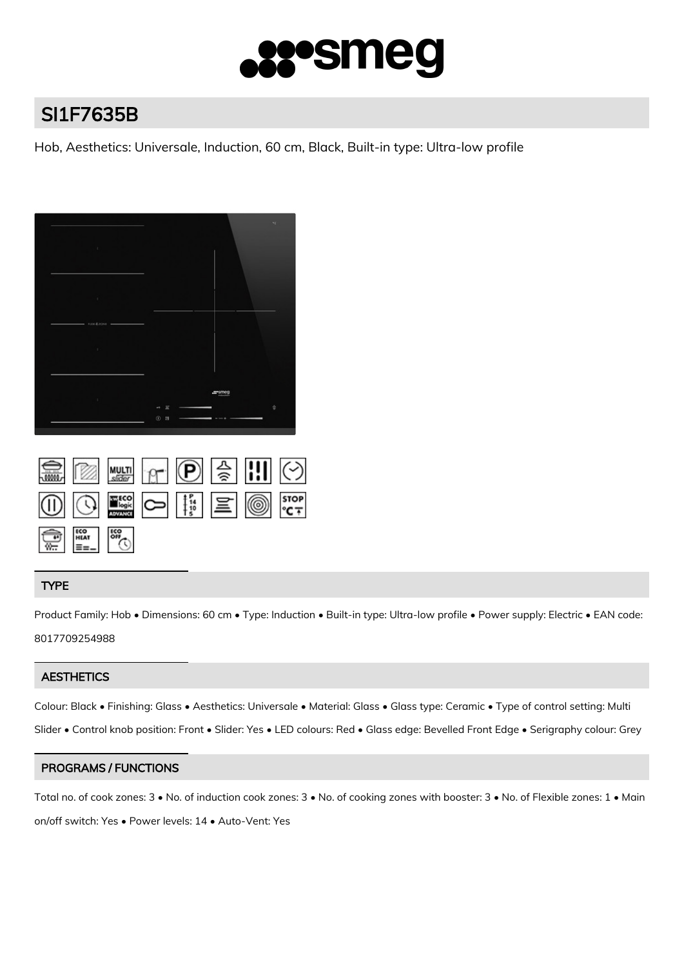

# SI1F7635B

Hob, Aesthetics: Universale, Induction, 60 cm, Black, Built-in type: Ultra-low profile



|                                                                                                               |  | SIM SIMILARY P & THI 4                                                                                                                                                                                                                                                                                          |  |  |
|---------------------------------------------------------------------------------------------------------------|--|-----------------------------------------------------------------------------------------------------------------------------------------------------------------------------------------------------------------------------------------------------------------------------------------------------------------|--|--|
|                                                                                                               |  | $\textcircled{\scriptsize{13.5}}\hspace{1.5em}\textcircled{\scriptsize{13.5}}\hspace{1.5em}\textcircled{\scriptsize{13.5}}\hspace{1.5em}\textcircled{\scriptsize{13.5}}\hspace{1.5em}\textcircled{\scriptsize{13.5}}\hspace{1.5em}\textcircled{\scriptsize{13.5}}\hspace{1.5em}\textcircled{\scriptsize{13.5}}$ |  |  |
| $\frac{1}{\sqrt{10}}$ $\frac{1}{\sqrt{10}}$ $\frac{1}{\sqrt{10}}$ $\frac{1}{\sqrt{10}}$ $\frac{1}{\sqrt{10}}$ |  |                                                                                                                                                                                                                                                                                                                 |  |  |

# TYPE

Product Family: Hob • Dimensions: 60 cm • Type: Induction • Built-in type: Ultra-low profile • Power supply: Electric • EAN code: 8017709254988

# **AESTHETICS**

Colour: Black • Finishing: Glass • Aesthetics: Universale • Material: Glass • Glass type: Ceramic • Type of control setting: Multi Slider • Control knob position: Front • Slider: Yes • LED colours: Red • Glass edge: Bevelled Front Edge • Serigraphy colour: Grey

# PROGRAMS / FUNCTIONS

Total no. of cook zones: 3 • No. of induction cook zones: 3 • No. of cooking zones with booster: 3 • No. of Flexible zones: 1 • Main on/off switch: Yes • Power levels: 14 • Auto-Vent: Yes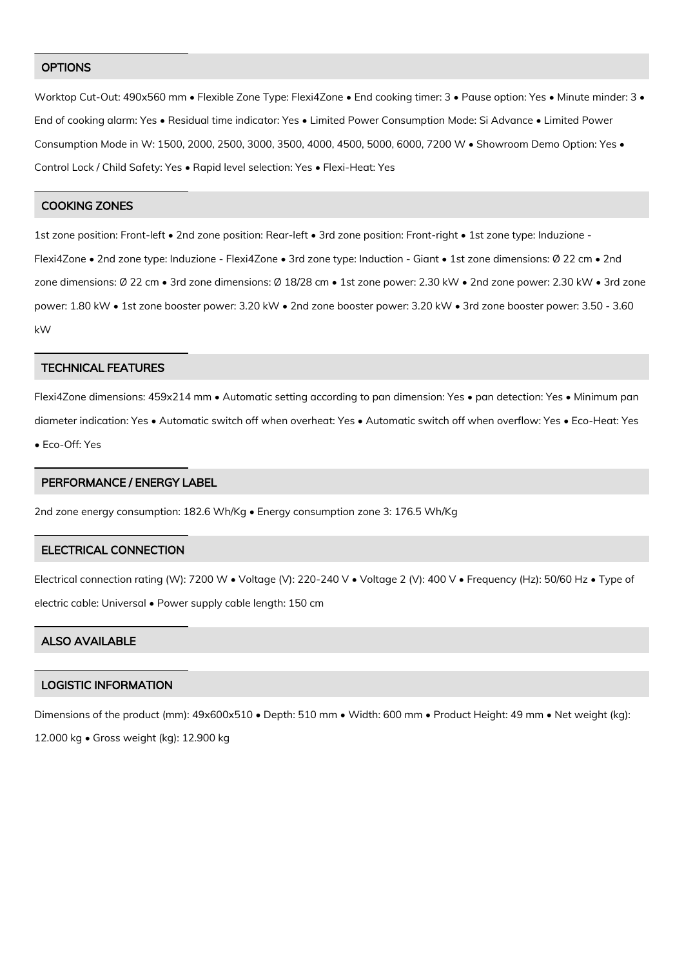#### **OPTIONS**

Worktop Cut-Out: 490x560 mm • Flexible Zone Type: Flexi4Zone • End cooking timer: 3 • Pause option: Yes • Minute minder: 3 • End of cooking alarm: Yes • Residual time indicator: Yes • Limited Power Consumption Mode: Si Advance • Limited Power Consumption Mode in W: 1500, 2000, 2500, 3000, 3500, 4000, 4500, 5000, 6000, 7200 W • Showroom Demo Option: Yes • Control Lock / Child Safety: Yes • Rapid level selection: Yes • Flexi-Heat: Yes

#### COOKING ZONES

1st zone position: Front-left • 2nd zone position: Rear-left • 3rd zone position: Front-right • 1st zone type: Induzione - Flexi4Zone • 2nd zone type: Induzione - Flexi4Zone • 3rd zone type: Induction - Giant • 1st zone dimensions: Ø 22 cm • 2nd zone dimensions: Ø 22 cm • 3rd zone dimensions: Ø 18/28 cm • 1st zone power: 2.30 kW • 2nd zone power: 2.30 kW • 3rd zone power: 1.80 kW • 1st zone booster power: 3.20 kW • 2nd zone booster power: 3.20 kW • 3rd zone booster power: 3.50 - 3.60 kW

#### TECHNICAL FEATURES

Flexi4Zone dimensions: 459x214 mm • Automatic setting according to pan dimension: Yes • pan detection: Yes • Minimum pan diameter indication: Yes • Automatic switch off when overheat: Yes • Automatic switch off when overflow: Yes • Eco-Heat: Yes

• Eco-Off: Yes

### PERFORMANCE / ENERGY LABEL

2nd zone energy consumption: 182.6 Wh/Kg • Energy consumption zone 3: 176.5 Wh/Kg

# ELECTRICAL CONNECTION

Electrical connection rating (W): 7200 W • Voltage (V): 220-240 V • Voltage 2 (V): 400 V • Frequency (Hz): 50/60 Hz • Type of electric cable: Universal • Power supply cable length: 150 cm

# ALSO AVAILABLE

## LOGISTIC INFORMATION

Dimensions of the product (mm): 49x600x510 • Depth: 510 mm • Width: 600 mm • Product Height: 49 mm • Net weight (kg):

12.000 kg • Gross weight (kg): 12.900 kg